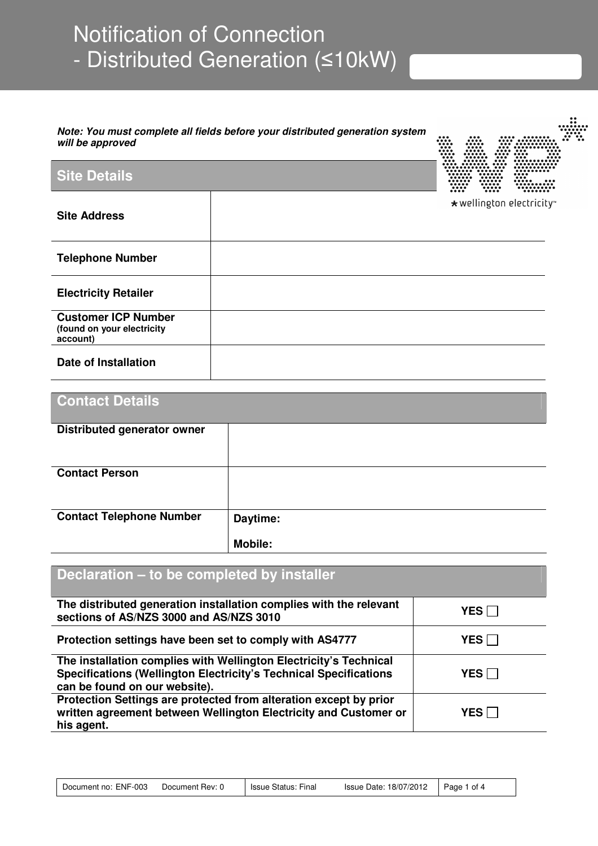# Notification of Connection - Distributed Generation (≤10kW)

#### **Note: You must complete all fields before your distributed generation system will be approved**



### **Site Details**

|                                                                      | <br>                           |
|----------------------------------------------------------------------|--------------------------------|
| <b>Site Address</b>                                                  | $\star$ wellington electricity |
| <b>Telephone Number</b>                                              |                                |
| <b>Electricity Retailer</b>                                          |                                |
| <b>Customer ICP Number</b><br>(found on your electricity<br>account) |                                |
| <b>Date of Installation</b>                                          |                                |

| <b>Contact Details</b>             |                |
|------------------------------------|----------------|
|                                    |                |
| <b>Distributed generator owner</b> |                |
| <b>Contact Person</b>              |                |
| <b>Contact Telephone Number</b>    | Daytime:       |
|                                    | <b>Mobile:</b> |

| Declaration – to be completed by installer                                                                                                                                     |              |
|--------------------------------------------------------------------------------------------------------------------------------------------------------------------------------|--------------|
| The distributed generation installation complies with the relevant<br>sections of AS/NZS 3000 and AS/NZS 3010                                                                  | <b>YES</b>   |
| Protection settings have been set to comply with AS4777                                                                                                                        | <b>YES</b> I |
| The installation complies with Wellington Electricity's Technical<br><b>Specifications (Wellington Electricity's Technical Specifications</b><br>can be found on our website). | YES I        |
| Protection Settings are protected from alteration except by prior<br>written agreement between Wellington Electricity and Customer or<br>his agent.                            | YES.         |

| Document no: ENF-003 | Document Rev: 0 | Issue Status: Final | Issue Date: 18/07/2012 | Page 1 of 4 |
|----------------------|-----------------|---------------------|------------------------|-------------|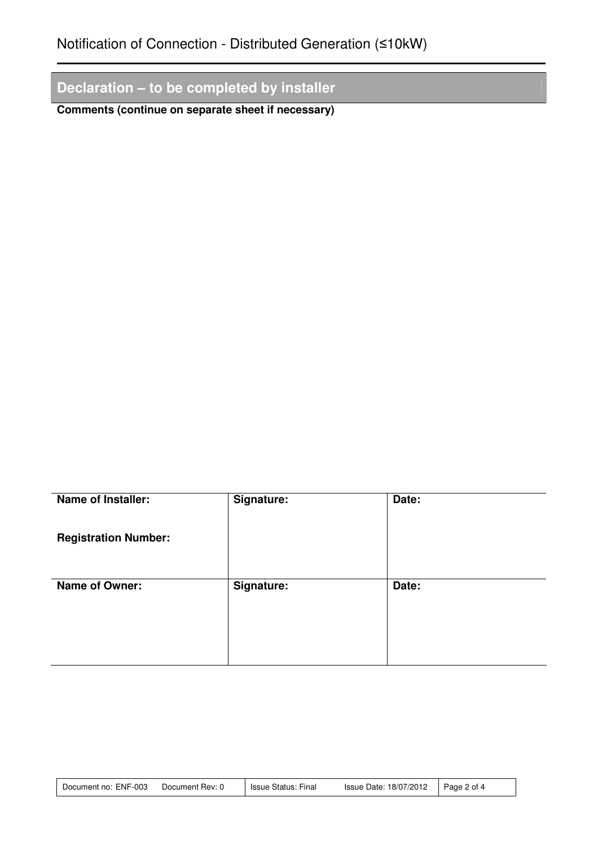# **Declaration – to be completed by installer**

**Comments (continue on separate sheet if necessary)** 

| <b>Name of Installer:</b>   | Signature: | Date: |
|-----------------------------|------------|-------|
| <b>Registration Number:</b> |            |       |
| Name of Owner:              | Signature: | Date: |

| Document no: ENF-003 | Document Rev: 0 | Issue Status: Final | Issue Date: 18/07/2012 | Page 2 of 4 |
|----------------------|-----------------|---------------------|------------------------|-------------|
|----------------------|-----------------|---------------------|------------------------|-------------|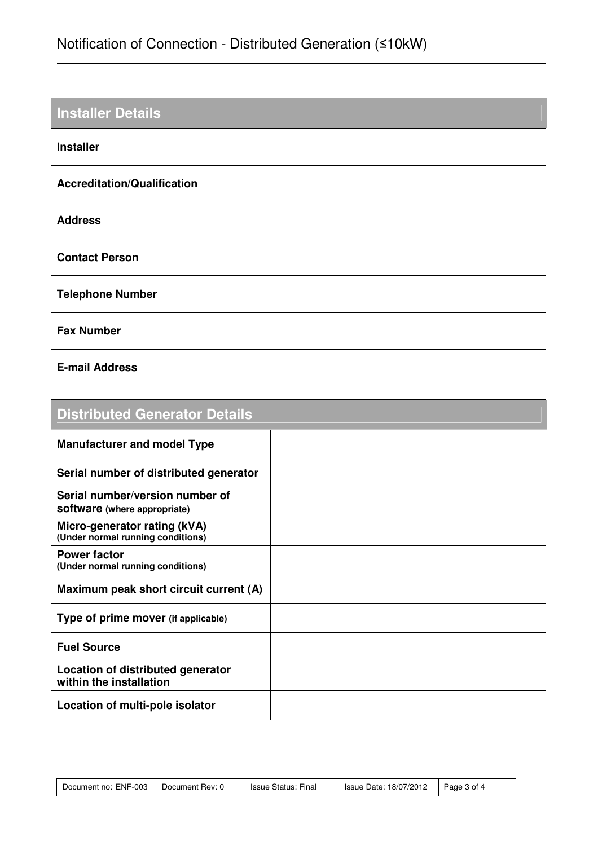# Notification of Connection - Distributed Generation (≤10kW)

| <b>Installer Details</b>           |  |
|------------------------------------|--|
| <b>Installer</b>                   |  |
| <b>Accreditation/Qualification</b> |  |
| <b>Address</b>                     |  |
| <b>Contact Person</b>              |  |
| <b>Telephone Number</b>            |  |
| <b>Fax Number</b>                  |  |
| <b>E-mail Address</b>              |  |

| <b>Distributed Generator Details</b>                                   |  |
|------------------------------------------------------------------------|--|
| <b>Manufacturer and model Type</b>                                     |  |
| Serial number of distributed generator                                 |  |
| Serial number/version number of<br><b>software</b> (where appropriate) |  |
| Micro-generator rating (kVA)<br>(Under normal running conditions)      |  |
| <b>Power factor</b><br>(Under normal running conditions)               |  |
| Maximum peak short circuit current (A)                                 |  |
| Type of prime mover (if applicable)                                    |  |
| <b>Fuel Source</b>                                                     |  |
| Location of distributed generator<br>within the installation           |  |
| Location of multi-pole isolator                                        |  |